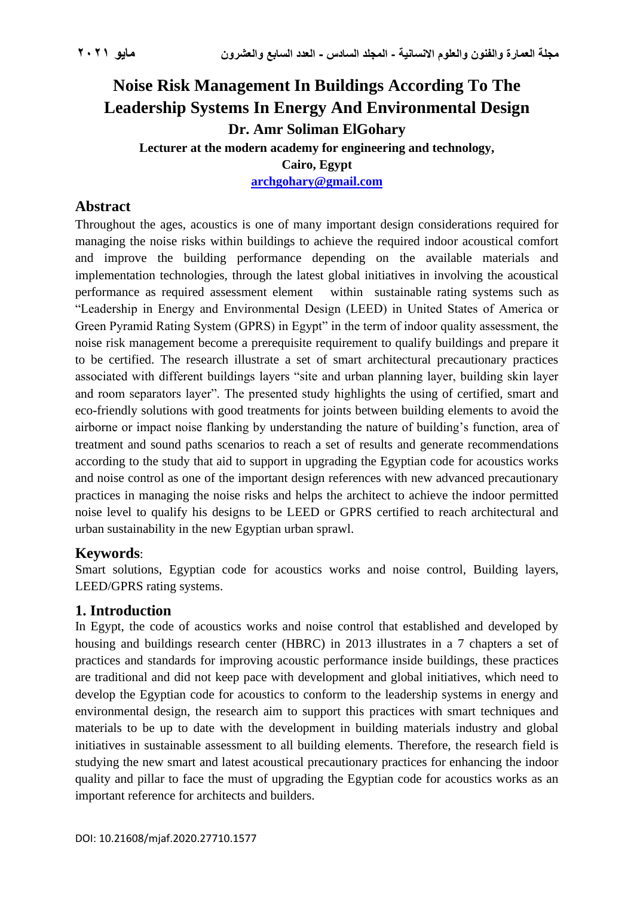# **Noise Risk Management In Buildings According To The Leadership Systems In Energy And Environmental Design Dr. Amr Soliman ElGohary Lecturer at the modern academy for engineering and technology, Cairo, Egypt [archgohary@gmail.com](mailto:archgohary@gmail.com)**

# **Abstract**

Throughout the ages, acoustics is one of many important design considerations required for managing the noise risks within buildings to achieve the required indoor acoustical comfort and improve the building performance depending on the available materials and implementation technologies, through the latest global initiatives in involving the acoustical performance as required assessment element within sustainable rating systems such as "Leadership in Energy and Environmental Design (LEED) in United States of America or Green Pyramid Rating System (GPRS) in Egypt" in the term of indoor quality assessment, the noise risk management become a prerequisite requirement to qualify buildings and prepare it to be certified. The research illustrate a set of smart architectural precautionary practices associated with different buildings layers "site and urban planning layer, building skin layer and room separators layer". The presented study highlights the using of certified, smart and eco-friendly solutions with good treatments for joints between building elements to avoid the airborne or impact noise flanking by understanding the nature of building's function, area of treatment and sound paths scenarios to reach a set of results and generate recommendations according to the study that aid to support in upgrading the Egyptian code for acoustics works and noise control as one of the important design references with new advanced precautionary practices in managing the noise risks and helps the architect to achieve the indoor permitted noise level to qualify his designs to be LEED or GPRS certified to reach architectural and urban sustainability in the new Egyptian urban sprawl.

# **Keywords**:

Smart solutions, Egyptian code for acoustics works and noise control, Building layers, LEED/GPRS rating systems.

# **1. Introduction**

In Egypt, the code of acoustics works and noise control that established and developed by housing and buildings research center (HBRC) in 2013 illustrates in a 7 chapters a set of practices and standards for improving acoustic performance inside buildings, these practices are traditional and did not keep pace with development and global initiatives, which need to develop the Egyptian code for acoustics to conform to the leadership systems in energy and environmental design, the research aim to support this practices with smart techniques and materials to be up to date with the development in building materials industry and global initiatives in sustainable assessment to all building elements. Therefore, the research field is studying the new smart and latest acoustical precautionary practices for enhancing the indoor quality and pillar to face the must of upgrading the Egyptian code for acoustics works as an important reference for architects and builders.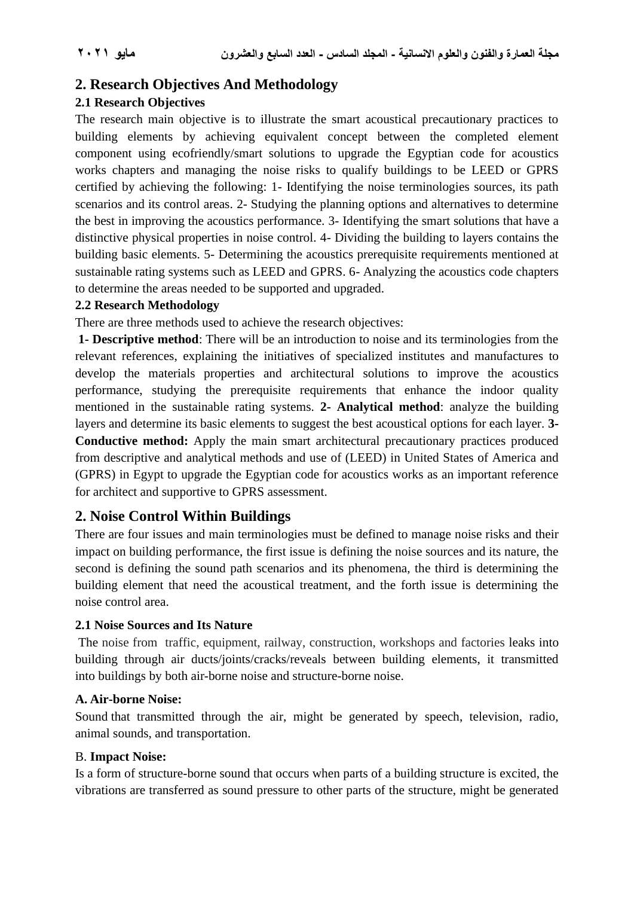# **2. Research Objectives And Methodology**

## **2.1 Research Objectives**

The research main objective is to illustrate the smart acoustical precautionary practices to building elements by achieving equivalent concept between the completed element component using ecofriendly/smart solutions to upgrade the Egyptian code for acoustics works chapters and managing the noise risks to qualify buildings to be LEED or GPRS certified by achieving the following: 1- Identifying the noise terminologies sources, its path scenarios and its control areas. 2- Studying the planning options and alternatives to determine the best in improving the acoustics performance. 3- Identifying the smart solutions that have a distinctive physical properties in noise control. 4- Dividing the building to layers contains the building basic elements. 5- Determining the acoustics prerequisite requirements mentioned at sustainable rating systems such as LEED and GPRS. 6- Analyzing the acoustics code chapters to determine the areas needed to be supported and upgraded.

#### **2.2 Research Methodology**

There are three methods used to achieve the research objectives:

**1- Descriptive method**: There will be an introduction to noise and its terminologies from the relevant references, explaining the initiatives of specialized institutes and manufactures to develop the materials properties and architectural solutions to improve the acoustics performance, studying the prerequisite requirements that enhance the indoor quality mentioned in the sustainable rating systems. **2- Analytical method**: analyze the building layers and determine its basic elements to suggest the best acoustical options for each layer. **3- Conductive method:** Apply the main smart architectural precautionary practices produced from descriptive and analytical methods and use of (LEED) in United States of America and (GPRS) in Egypt to upgrade the Egyptian code for acoustics works as an important reference for architect and supportive to GPRS assessment.

# **2. Noise Control Within Buildings**

There are four issues and main terminologies must be defined to manage noise risks and their impact on building performance, the first issue is defining the noise sources and its nature, the second is defining the sound path scenarios and its phenomena, the third is determining the building element that need the acoustical treatment, and the forth issue is determining the noise control area.

#### **2.1 Noise Sources and Its Nature**

The noise from traffic, equipment, railway, construction, workshops and factories leaks into building through air ducts/joints/cracks/reveals between building elements, it transmitted into [buildings](https://www.designingbuildings.co.uk/wiki/Building) by both air-borne [noise](https://www.designingbuildings.co.uk/wiki/Sound) and [structure-borne noise.](https://www.designingbuildings.co.uk/wiki/Structure-borne_sound)

#### **A. Air-borne Noise:**

[Sound](https://www.designingbuildings.co.uk/wiki/Sound) that transmitted through the air, might be generated by speech, television, radio, animal [sounds,](https://www.designingbuildings.co.uk/wiki/Sound) and [transporta](https://www.designingbuildings.co.uk/wiki/Transport)tion.

#### B. **Impact Noise:**

Is a form of [structure-borne sound](https://www.designingbuildings.co.uk/wiki/Structure-borne_sound) that occurs when parts of a building structure is excited, the vibrations are transferred as sound pressure to other parts of the structure, might be generated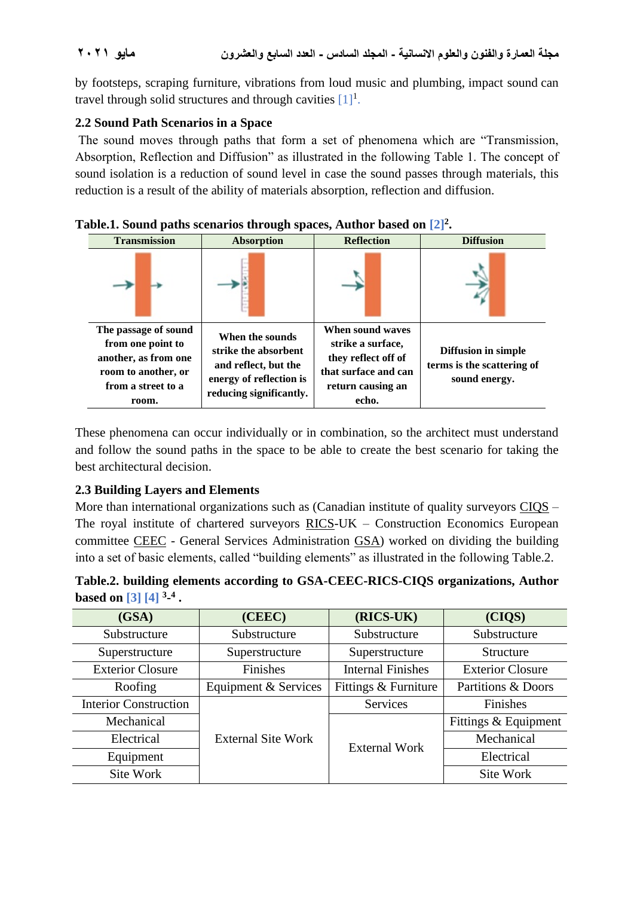by footsteps, scraping furniture, vibrations from loud music and plumbing, impact sound can travel through solid [structures](https://www.designingbuildings.co.uk/wiki/Structure) and through cavities  $[1]$ <sup>1</sup>.

## **2.2 Sound Path Scenarios in a Space**

The sound moves through paths that form a set of phenomena which are "Transmission, Absorption, Reflection and Diffusion" as illustrated in the following Table 1. The concept of sound isolation is a reduction of sound level in case the sound passes through materials, this reduction is a result of the ability of materials absorption, reflection and diffusion.

| <b>Transmission</b>                                                                                                     | <b>Absorption</b>                                                                                                     | <b>Reflection</b>                                                                                                  | <b>Diffusion</b>                                                          |
|-------------------------------------------------------------------------------------------------------------------------|-----------------------------------------------------------------------------------------------------------------------|--------------------------------------------------------------------------------------------------------------------|---------------------------------------------------------------------------|
|                                                                                                                         |                                                                                                                       |                                                                                                                    |                                                                           |
| The passage of sound<br>from one point to<br>another, as from one<br>room to another, or<br>from a street to a<br>room. | When the sounds<br>strike the absorbent<br>and reflect, but the<br>energy of reflection is<br>reducing significantly. | When sound waves<br>strike a surface,<br>they reflect off of<br>that surface and can<br>return causing an<br>echo. | <b>Diffusion in simple</b><br>terms is the scattering of<br>sound energy. |

### **Table.1. Sound paths scenarios through spaces, Author based on [2]<sup>2</sup> .**

These phenomena can occur individually or in combination, so the architect must understand and follow the sound paths in the space to be able to create the best scenario for taking the best architectural decision.

## **2.3 Building Layers and Elements**

More than international organizations such as (Canadian institute of quality surveyors CIOS – The royal institute of chartered surveyors RICS-UK – Construction Economics European committee CEEC - General Services Administration GSA) worked on dividing the building into a set of basic elements, called "building elements" as illustrated in the following Table.2.

|                          |  | Table.2. building elements according to GSA-CEEC-RICS-CIQS organizations, Author |
|--------------------------|--|----------------------------------------------------------------------------------|
| based on [3] [4] $3-4$ . |  |                                                                                  |

| (GSA)                               | (CEEC)                    | (RICS-UK)                | (CIQS)                  |  |
|-------------------------------------|---------------------------|--------------------------|-------------------------|--|
| Substructure                        | Substructure              | Substructure             | Substructure            |  |
| Superstructure                      | Superstructure            | Superstructure           | Structure               |  |
| Finishes<br><b>Exterior Closure</b> |                           | <b>Internal Finishes</b> | <b>Exterior Closure</b> |  |
| Equipment & Services<br>Roofing     |                           | Fittings & Furniture     | Partitions & Doors      |  |
| <b>Interior Construction</b>        |                           | Services                 | Finishes                |  |
| Mechanical                          |                           |                          | Fittings & Equipment    |  |
| Electrical                          | <b>External Site Work</b> | External Work            | Mechanical              |  |
| Equipment                           |                           |                          | Electrical              |  |
| Site Work                           |                           |                          | Site Work               |  |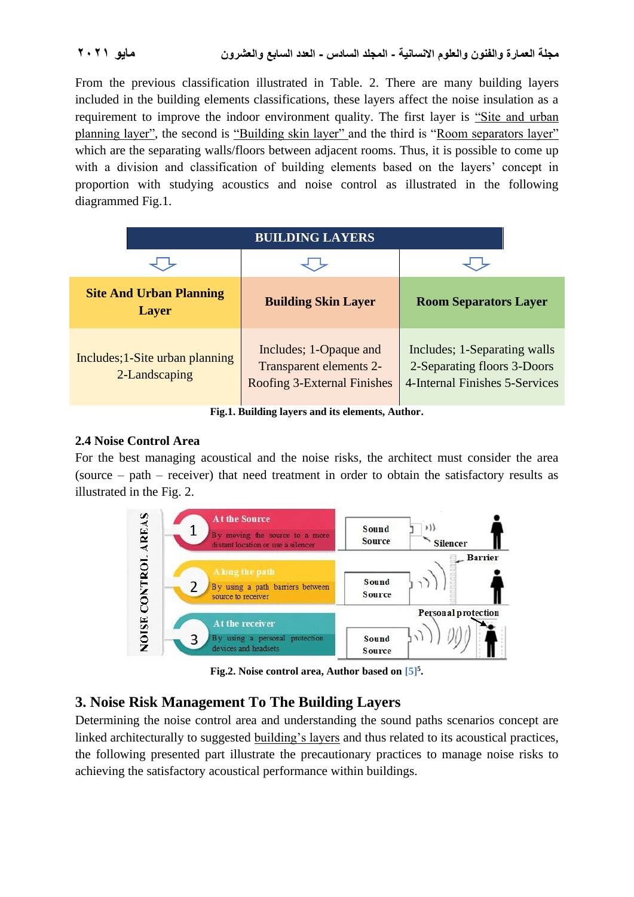From the previous classification illustrated in Table. 2. There are many building layers included in the building elements classifications, these layers affect the noise insulation as a requirement to improve the indoor environment quality. The first layer is "Site and urban planning layer", the second is "Building skin layer" and the third is "Room separators layer" which are the separating walls/floors between adjacent rooms. Thus, it is possible to come up with a division and classification of building elements based on the layers' concept in proportion with studying acoustics and noise control as illustrated in the following diagrammed Fig.1.

| <b>BUILDING LAYERS</b>                           |                                                                                         |                                                                                               |  |
|--------------------------------------------------|-----------------------------------------------------------------------------------------|-----------------------------------------------------------------------------------------------|--|
|                                                  |                                                                                         |                                                                                               |  |
| <b>Site And Urban Planning</b><br><b>Layer</b>   | <b>Building Skin Layer</b>                                                              | <b>Room Separators Layer</b>                                                                  |  |
| Includes; 1-Site urban planning<br>2-Landscaping | Includes; 1-Opaque and<br>Transparent elements 2-<br><b>Roofing 3-External Finishes</b> | Includes; 1-Separating walls<br>2-Separating floors 3-Doors<br>4-Internal Finishes 5-Services |  |

**Fig.1. Building layers and its elements, Author.**

#### **2.4 Noise Control Area**

For the best managing acoustical and the noise risks, the architect must consider the area (source – path – receiver) that need treatment in order to obtain the satisfactory results as illustrated in the Fig. 2.



**Fig.2. Noise control area, Author based on [5]<sup>5</sup> .**

# **3. Noise Risk Management To The Building Layers**

Determining the noise control area and understanding the sound paths scenarios concept are linked architecturally to suggested building's layers and thus related to its acoustical practices, the following presented part illustrate the precautionary practices to manage noise risks to achieving the satisfactory acoustical performance within buildings.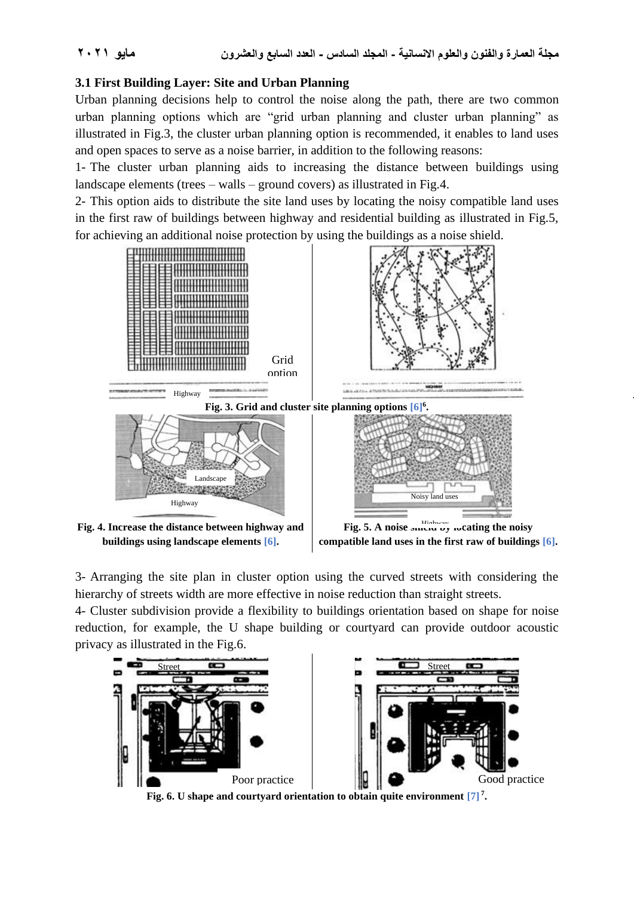Highway

## **3.1 First Building Layer: Site and Urban Planning**

Urban planning decisions help to control the noise along the path, there are two common urban planning options which are "grid urban planning and cluster urban planning" as illustrated in Fig.3, the cluster urban planning option is recommended, it enables to land uses and open spaces to serve as a noise barrier, in addition to the following reasons:

1- The cluster urban planning aids to increasing the distance between buildings using landscape elements (trees – walls – ground covers) as illustrated in Fig.4.

2- This option aids to distribute the site land uses by locating the noisy compatible land uses in the first raw of buildings between highway and residential building as illustrated in Fig.5, for achieving an additional noise protection by using the buildings as a noise shield.



3- Arranging the site plan in cluster option using the curved streets with considering the hierarchy of streets width are more effective in noise reduction than straight streets.

4- Cluster subdivision provide a flexibility to buildings orientation based on shape for noise reduction, for example, the U shape building or courtyard can provide outdoor acoustic privacy as illustrated in the Fig.6.



**Fig. 6. U shape and courtyard orientation to obtain quite environment [7] <sup>7</sup> .**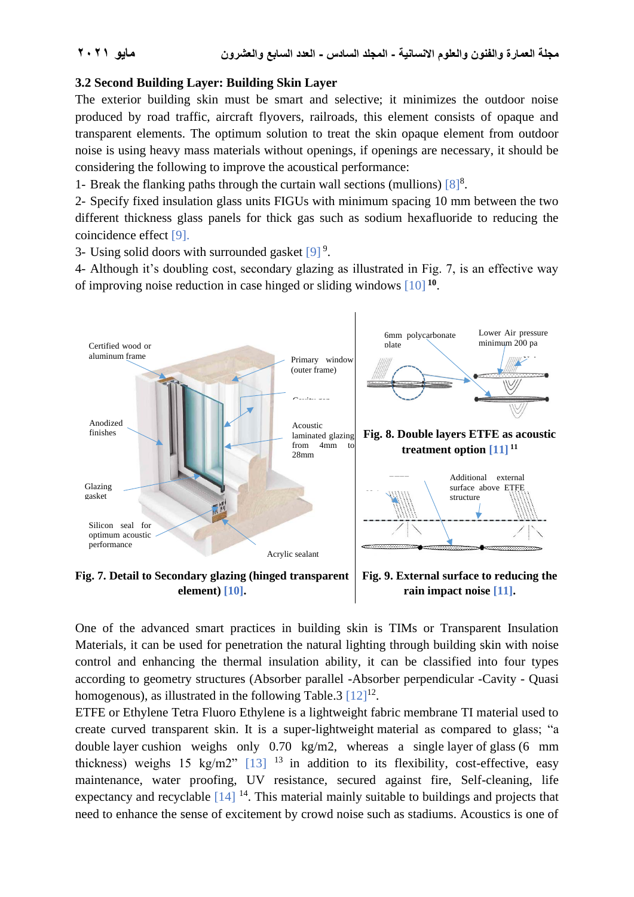#### **3.2 Second Building Layer: Building Skin Layer**

The exterior building skin must be smart and selective; it minimizes the outdoor noise produced by road traffic, aircraft flyovers, railroads, this element consists of opaque and transparent elements. The optimum solution to treat the skin opaque element from outdoor noise is using heavy mass materials without openings, if openings are necessary, it should be considering the following to improve the acoustical performance:

1- Break the flanking paths through the curtain wall sections (mullions)  $[8]^8$ .

2- Specify fixed insulation glass units FIGUs with minimum spacing 10 mm between the two different thickness glass panels for thick gas such as sodium hexafluoride to reducing the coincidence effect [9].

3- Using solid doors with surrounded gasket  $[9]$ <sup>9</sup>.

4- Although it's doubling cost, secondary glazing as illustrated in Fig. 7, is an effective way of improving noise reduction in case hinged or sliding windows [10] **<sup>10</sup>** .



**Fig. 7. Detail to Secondary glazing (hinged transparent element) [10].**

**Fig. 9. External surface to reducing the rain impact noise [11].**

One of the advanced smart practices in building skin is TIMs or Transparent Insulation Materials, it can be used for penetration the natural lighting through building skin with noise control and enhancing the thermal insulation ability, it can be classified into four types according to geometry structures (Absorber parallel -Absorber perpendicular -Cavity - Quasi homogenous), as illustrated in the following Table.3  $[12]^{12}$ .

ETFE or Ethylene Tetra Fluoro Ethylene is a lightweight fabric membrane TI material used to create curved transparent skin. It is a super-lightweight [material](https://www.designingbuildings.co.uk/wiki/Materials) as compared to glass; "a double [layer](https://www.designingbuildings.co.uk/wiki/Layer) cushion weighs only 0.70 kg/m2, whereas a single [layer](https://www.designingbuildings.co.uk/wiki/Layer) of [glass](https://www.designingbuildings.co.uk/wiki/Glass) (6 mm thickness) weighs 15 kg/m2"  $\left[13\right]$  <sup>13</sup> in addition to its flexibility, cost-effective, easy maintenance, water proofing, UV resistance, secured against fire, Self-cleaning, life expectancy and recyclable  $[14]$ <sup>14</sup>. This material mainly suitable to buildings and projects that need to enhance the sense of excitement by crowd noise such as stadiums. Acoustics is one of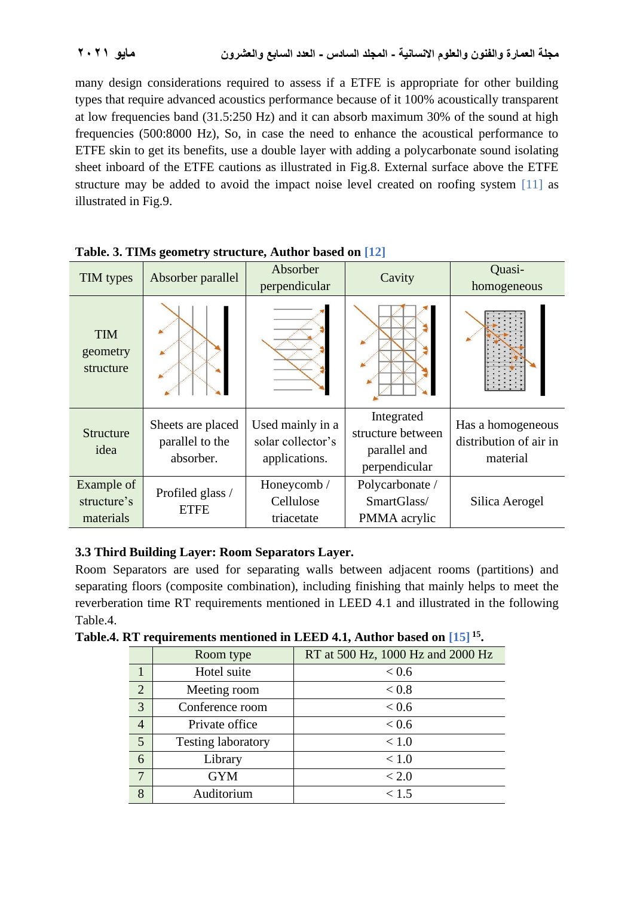many design considerations required to assess if a ETFE is appropriate for other building types that require advanced acoustics performance because of it 100% acoustically transparent at low frequencies band (31.5:250 Hz) and it can absorb maximum 30% of the sound at high frequencies (500:8000 Hz), So, in case the need to enhance the acoustical performance to ETFE skin to get its benefits, use a double [layer](https://www.designingbuildings.co.uk/wiki/Layer) with adding a polycarbonate sound isolating sheet inboard of the ETFE cautions as illustrated in Fig.8. External surface above the ETFE structure may be added to avoid the impact noise level created on roofing system [11] as illustrated in Fig.9.

| TIM types                              | Absorber parallel                                 | Absorber<br>perpendicular                              | Cavity                                                           | Quasi-<br>homogeneous                                   |
|----------------------------------------|---------------------------------------------------|--------------------------------------------------------|------------------------------------------------------------------|---------------------------------------------------------|
| <b>TIM</b><br>geometry<br>structure    |                                                   |                                                        |                                                                  |                                                         |
| <b>Structure</b><br>idea               | Sheets are placed<br>parallel to the<br>absorber. | Used mainly in a<br>solar collector's<br>applications. | Integrated<br>structure between<br>parallel and<br>perpendicular | Has a homogeneous<br>distribution of air in<br>material |
| Example of<br>structure's<br>materials | Profiled glass /<br><b>ETFE</b>                   | Honeycomb /<br>Cellulose<br>triacetate                 | Polycarbonate /<br>SmartGlass/<br>PMMA acrylic                   | Silica Aerogel                                          |

**Table. 3. TIMs geometry structure, Author based on [12]**

## **3.3 Third Building Layer: Room Separators Layer.**

Room Separators are used for separating walls between adjacent rooms (partitions) and separating floors (composite combination), including finishing that mainly helps to meet the reverberation time RT requirements mentioned in LEED 4.1 and illustrated in the following Table.4.

**Table.4. RT requirements mentioned in LEED 4.1, Author based on [15] <sup>15</sup> .**

|                 | $\frac{1}{2}$             |                                   |  |  |  |
|-----------------|---------------------------|-----------------------------------|--|--|--|
|                 | Room type                 | RT at 500 Hz, 1000 Hz and 2000 Hz |  |  |  |
|                 | Hotel suite               | < 0.6                             |  |  |  |
| 2               | Meeting room              | < 0.8                             |  |  |  |
| $\overline{3}$  | Conference room           | < 0.6                             |  |  |  |
| $\overline{4}$  | Private office            | < 0.6                             |  |  |  |
| 5               | <b>Testing laboratory</b> | < 1.0                             |  |  |  |
| $\overline{6}$  | Library                   | < 1.0                             |  |  |  |
| $7\overline{ }$ | <b>GYM</b>                | < 2.0                             |  |  |  |
| 8               | Auditorium                | < 1.5                             |  |  |  |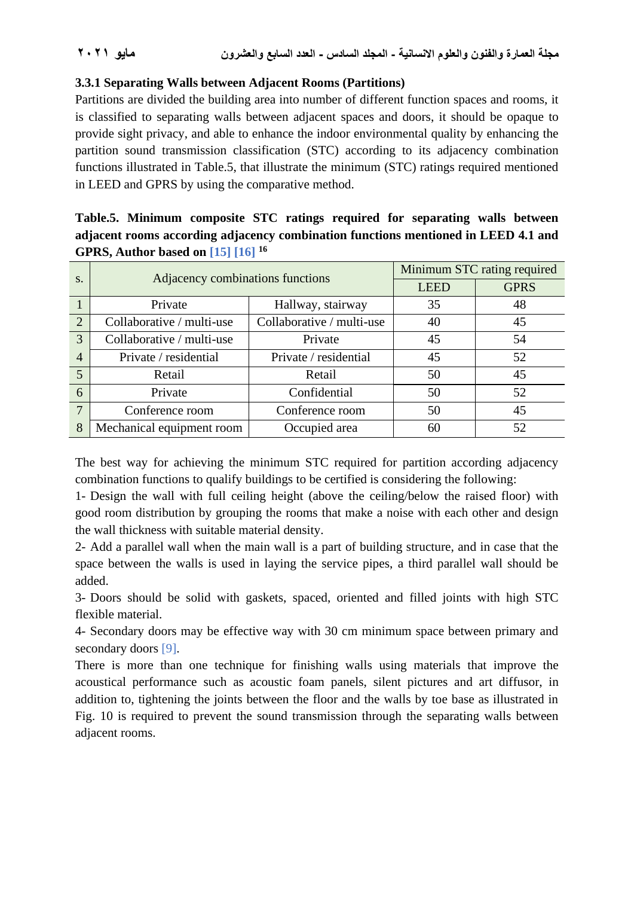## **3.3.1 Separating Walls between Adjacent Rooms (Partitions)**

Partitions are divided the building area into number of different function spaces and rooms, it is classified to separating walls between adjacent spaces and doors, it should be opaque to provide sight privacy, and able to enhance the indoor environmental quality by enhancing the partition sound transmission classification (STC) according to its adjacency combination functions illustrated in Table.5, that illustrate the minimum (STC) ratings required mentioned in LEED and GPRS by using the comparative method.

# **Table.5. Minimum composite STC ratings required for separating walls between adjacent rooms according adjacency combination functions mentioned in LEED 4.1 and GPRS, Author based on [15] [16] <sup>16</sup>**

| S.             | Adjacency combinations functions |                           | Minimum STC rating required |             |
|----------------|----------------------------------|---------------------------|-----------------------------|-------------|
|                |                                  |                           | <b>LEED</b>                 | <b>GPRS</b> |
|                | Private                          | Hallway, stairway         | 35                          | 48          |
| $\overline{2}$ | Collaborative / multi-use        | Collaborative / multi-use | 40                          | 45          |
| 3              | Collaborative / multi-use        | Private                   | 45                          | 54          |
| $\overline{4}$ | Private / residential            | Private / residential     | 45                          | 52          |
| 5              | Retail                           | Retail                    | 50                          | 45          |
| 6              | Private                          | Confidential              | 50                          | 52          |
| $\overline{7}$ | Conference room                  | Conference room           | 50                          | 45          |
| 8              | Mechanical equipment room        | Occupied area             | 60                          | 52          |

The best way for achieving the minimum STC required for partition according adjacency combination functions to qualify buildings to be certified is considering the following:

1- Design the wall with full ceiling height (above the ceiling/below the raised floor) with good room distribution by grouping the rooms that make a noise with each other and design the wall thickness with suitable material density.

2- Add a parallel wall when the main wall is a part of building structure, and in case that the space between the walls is used in laying the service pipes, a third parallel wall should be added.

3- Doors should be solid with gaskets, spaced, oriented and filled joints with high STC flexible material.

4- Secondary doors may be effective way with 30 cm minimum space between primary and secondary doors [9].

There is more than one technique for finishing walls using materials that improve the acoustical performance such as acoustic foam panels, silent pictures and art diffusor, in addition to, tightening the joints between the floor and the walls by toe base as illustrated in Fig. 10 is required to prevent the sound transmission through the separating walls between adjacent rooms.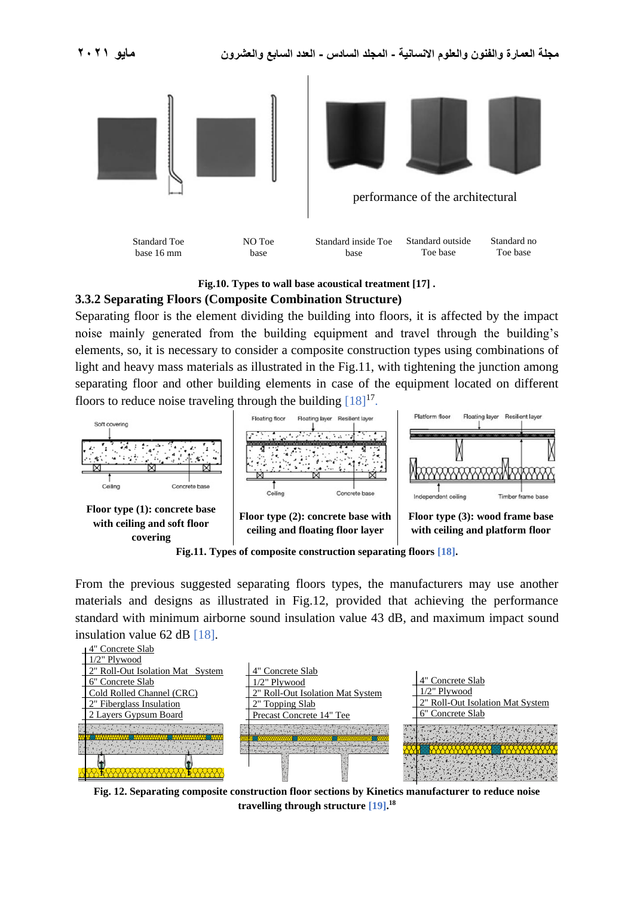

#### **Fig.10. Types to wall base acoustical treatment [17] .**

#### **3.3.2 Separating Floors (Composite Combination Structure)**

Separating floor is the element dividing the building into floors, it is affected by the impact noise mainly generated from the building equipment and travel through the building's elements, so, it is necessary to consider a composite construction types using combinations of light and heavy mass materials as illustrated in the Fig.11, with tightening the junction among separating floor and other building elements in case of the equipment located on different floors to reduce noise traveling through the building  $[18]^{17}$ .



**Fig.11. Types of composite construction separating floors [18].**

From the previous suggested separating floors types, the manufacturers may use another materials and designs as illustrated in Fig.12, provided that achieving the performance standard with minimum airborne sound insulation value 43 dB, and maximum impact sound insulation value 62 dB [18].



**Fig. 12. Separating composite construction floor sections by Kinetics manufacturer to reduce noise travelling through structure [19]. 18**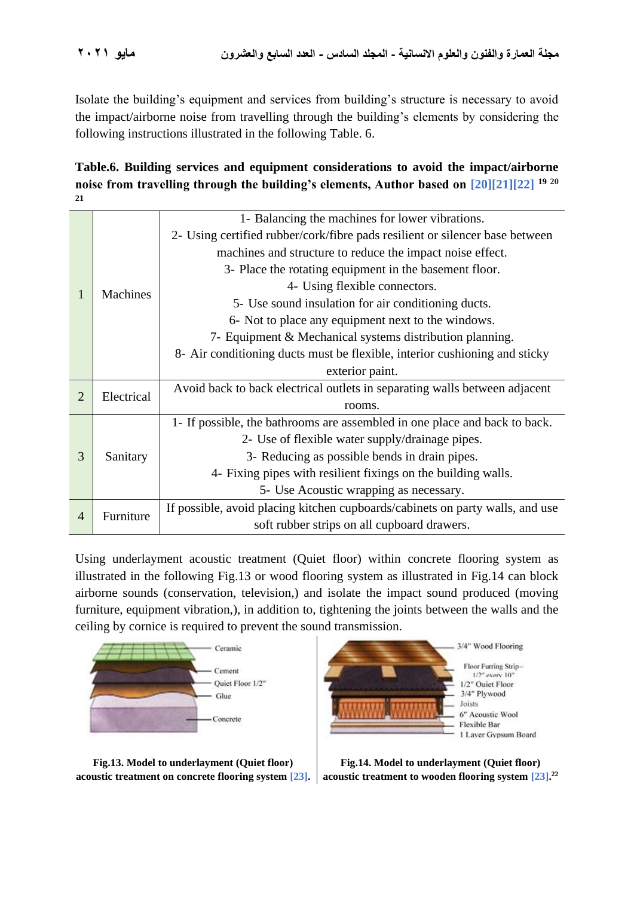Isolate the building's equipment and services from building's structure is necessary to avoid the impact/airborne noise from travelling through the building's elements by considering the following instructions illustrated in the following Table. 6.

**Table.6. Building services and equipment considerations to avoid the impact/airborne noise from travelling through the building's elements, Author based on [20][21][22] <sup>19</sup> <sup>20</sup> 21**

|                              | 1- Balancing the machines for lower vibrations.                               |
|------------------------------|-------------------------------------------------------------------------------|
|                              | 2- Using certified rubber/cork/fibre pads resilient or silencer base between  |
|                              | machines and structure to reduce the impact noise effect.                     |
|                              | 3- Place the rotating equipment in the basement floor.                        |
|                              | 4- Using flexible connectors.                                                 |
|                              | 5- Use sound insulation for air conditioning ducts.                           |
|                              | 6- Not to place any equipment next to the windows.                            |
|                              | 7- Equipment & Mechanical systems distribution planning.                      |
|                              | 8- Air conditioning ducts must be flexible, interior cushioning and sticky    |
|                              | exterior paint.                                                               |
| $\overline{2}$<br>Electrical | Avoid back to back electrical outlets in separating walls between adjacent    |
|                              | rooms.                                                                        |
|                              | 1- If possible, the bathrooms are assembled in one place and back to back.    |
|                              | 2- Use of flexible water supply/drainage pipes.                               |
| Sanitary                     | 3- Reducing as possible bends in drain pipes.                                 |
|                              | 4- Fixing pipes with resilient fixings on the building walls.                 |
|                              | 5- Use Acoustic wrapping as necessary.                                        |
|                              | If possible, avoid placing kitchen cupboards/cabinets on party walls, and use |
|                              | soft rubber strips on all cupboard drawers.                                   |
|                              | <b>Machines</b><br>Furniture                                                  |

Using underlayment acoustic treatment (Quiet floor) within concrete flooring system as illustrated in the following Fig.13 or wood flooring system as illustrated in Fig.14 can block airborne sounds (conservation, television,) and isolate the impact sound produced (moving furniture, equipment vibration,), in addition to, tightening the joints between the walls and the ceiling by cornice is required to prevent the sound transmission.



**Fig.13. Model to underlayment (Quiet floor) acoustic treatment on concrete flooring system [23].** acoustic treatment to wooden flooring system [23].<sup>22</sup>



**Fig.14. Model to underlayment (Quiet floor)**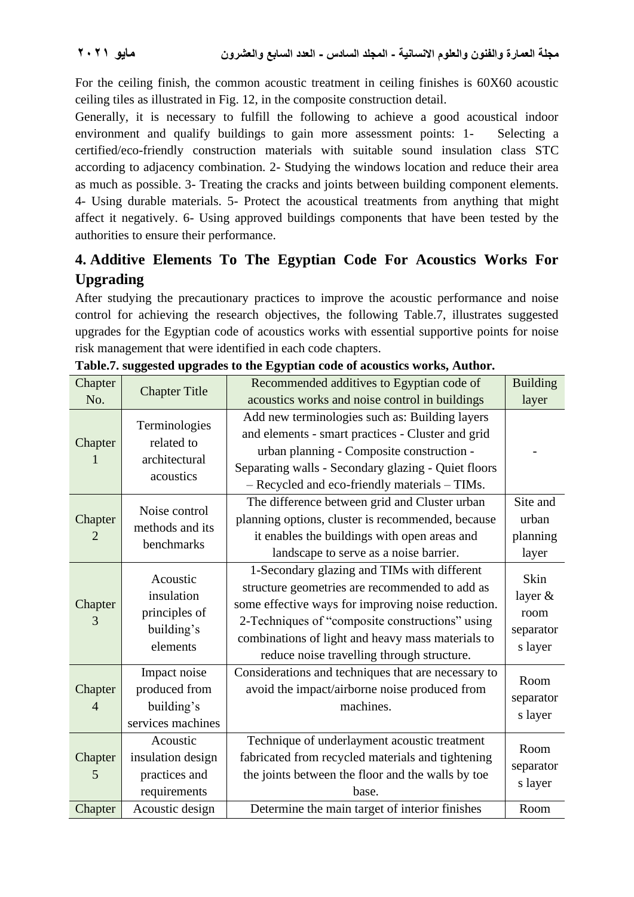For the ceiling finish, the common acoustic treatment in ceiling finishes is 60X60 acoustic ceiling tiles as illustrated in Fig. 12, in the composite construction detail.

Generally, it is necessary to fulfill the following to achieve a good acoustical indoor environment and qualify buildings to gain more assessment points: 1- Selecting a certified/eco-friendly construction materials with suitable sound insulation class STC according to adjacency combination. 2- Studying the windows location and reduce their area as much as possible. 3- Treating the cracks and joints between building component elements. 4- Using durable materials. 5- Protect the acoustical treatments from anything that might affect it negatively. 6- Using approved buildings components that have been tested by the authorities to ensure their performance.

# **4. Additive Elements To The Egyptian Code For Acoustics Works For Upgrading**

After studying the precautionary practices to improve the acoustic performance and noise control for achieving the research objectives, the following Table.7, illustrates suggested upgrades for the Egyptian code of acoustics works with essential supportive points for noise risk management that were identified in each code chapters.

| Chapter                   | <b>Chapter Title</b>                                                              | Recommended additives to Egyptian code of                                                                                                                                                                                                                                                                 | <b>Building</b>                                 |
|---------------------------|-----------------------------------------------------------------------------------|-----------------------------------------------------------------------------------------------------------------------------------------------------------------------------------------------------------------------------------------------------------------------------------------------------------|-------------------------------------------------|
| No.                       |                                                                                   | acoustics works and noise control in buildings                                                                                                                                                                                                                                                            | layer                                           |
| Chapter<br>1              | Terminologies<br>related to<br>architectural<br>acoustics                         | Add new terminologies such as: Building layers<br>and elements - smart practices - Cluster and grid<br>urban planning - Composite construction -<br>Separating walls - Secondary glazing - Quiet floors<br>- Recycled and eco-friendly materials - TIMs.                                                  |                                                 |
| Chapter<br>2              | Noise control<br>methods and its<br>benchmarks                                    | The difference between grid and Cluster urban<br>planning options, cluster is recommended, because<br>it enables the buildings with open areas and<br>landscape to serve as a noise barrier.                                                                                                              | Site and<br>urban<br>planning<br>layer          |
| Chapter<br>3              | Acoustic<br>insulation<br>principles of<br>building's<br>elements                 | 1-Secondary glazing and TIMs with different<br>structure geometries are recommended to add as<br>some effective ways for improving noise reduction.<br>2-Techniques of "composite constructions" using<br>combinations of light and heavy mass materials to<br>reduce noise travelling through structure. | Skin<br>layer &<br>room<br>separator<br>s layer |
| Chapter<br>$\overline{4}$ | Impact noise<br>produced from<br>building's<br>services machines                  | Considerations and techniques that are necessary to<br>avoid the impact/airborne noise produced from<br>machines.                                                                                                                                                                                         | Room<br>separator<br>s layer                    |
| Chapter<br>5<br>Chapter   | Acoustic<br>insulation design<br>practices and<br>requirements<br>Acoustic design | Technique of underlayment acoustic treatment<br>fabricated from recycled materials and tightening<br>the joints between the floor and the walls by toe<br>base.<br>Determine the main target of interior finishes                                                                                         | Room<br>separator<br>s layer<br>Room            |
|                           |                                                                                   |                                                                                                                                                                                                                                                                                                           |                                                 |

**Table.7. suggested upgrades to the Egyptian code of acoustics works, Author.**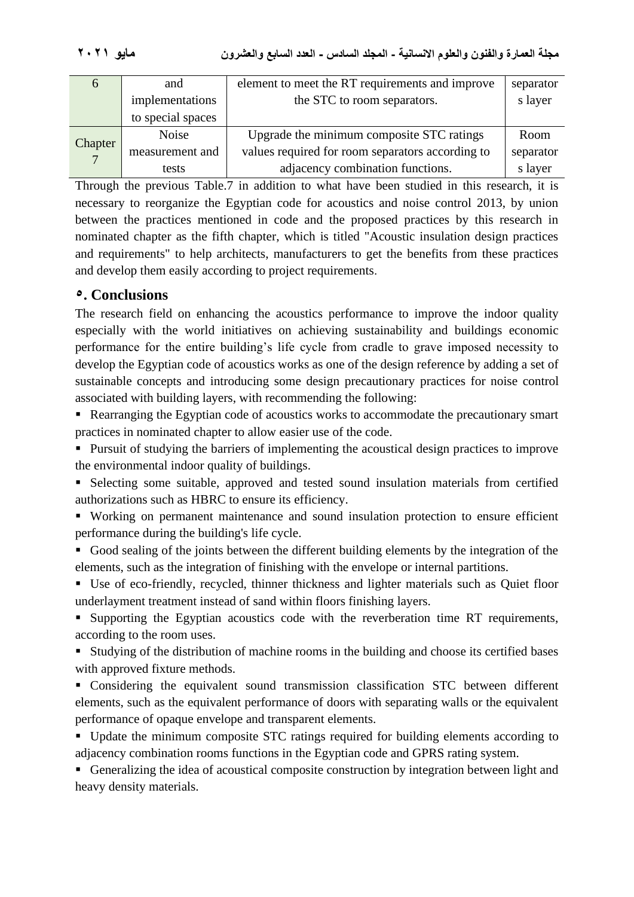**مجلة العمارة والفنون والعلوم االنسانية - المجلد السادس - العدد السابع والعشرون مايو 2021**

| $\Omega$                  | and               | element to meet the RT requirements and improve  | separator |
|---------------------------|-------------------|--------------------------------------------------|-----------|
|                           | implementations   | the STC to room separators.                      | s layer   |
|                           | to special spaces |                                                  |           |
|                           | <b>Noise</b>      | Upgrade the minimum composite STC ratings        | Room      |
| Chapter<br>$\overline{7}$ | measurement and   | values required for room separators according to | separator |
|                           | tests             | adjacency combination functions.                 | s layer   |

Through the previous Table.7 in addition to what have been studied in this research, it is necessary to reorganize the Egyptian code for acoustics and noise control 2013, by union between the practices mentioned in code and the proposed practices by this research in nominated chapter as the fifth chapter, which is titled "Acoustic insulation design practices and requirements" to help architects, manufacturers to get the benefits from these practices and develop them easily according to project requirements.

# **5. Conclusions**

The research field on enhancing the acoustics performance to improve the indoor quality especially with the world initiatives on achieving sustainability and buildings economic performance for the entire building's life cycle from cradle to grave imposed necessity to develop the Egyptian code of acoustics works as one of the design reference by adding a set of sustainable concepts and introducing some design precautionary practices for noise control associated with building layers, with recommending the following:

■ Rearranging the Egyptian code of acoustics works to accommodate the precautionary smart practices in nominated chapter to allow easier use of the code.

■ Pursuit of studying the barriers of implementing the acoustical design practices to improve the environmental indoor quality of buildings.

▪ Selecting some suitable, approved and tested sound insulation materials from certified authorizations such as HBRC to ensure its efficiency.

■ Working on permanent maintenance and sound insulation protection to ensure efficient performance during the building's life cycle.

■ Good sealing of the joints between the different building elements by the integration of the elements, such as the integration of finishing with the envelope or internal partitions.

■ Use of eco-friendly, recycled, thinner thickness and lighter materials such as Quiet floor underlayment treatment instead of sand within floors finishing layers.

■ Supporting the Egyptian acoustics code with the reverberation time RT requirements, according to the room uses.

■ Studying of the distribution of machine rooms in the building and choose its certified bases with approved fixture methods.

▪ Considering the equivalent sound transmission classification STC between different elements, such as the equivalent performance of doors with separating walls or the equivalent performance of opaque envelope and transparent elements.

■ Update the minimum composite STC ratings required for building elements according to adjacency combination rooms functions in the Egyptian code and GPRS rating system.

■ Generalizing the idea of acoustical composite construction by integration between light and heavy density materials.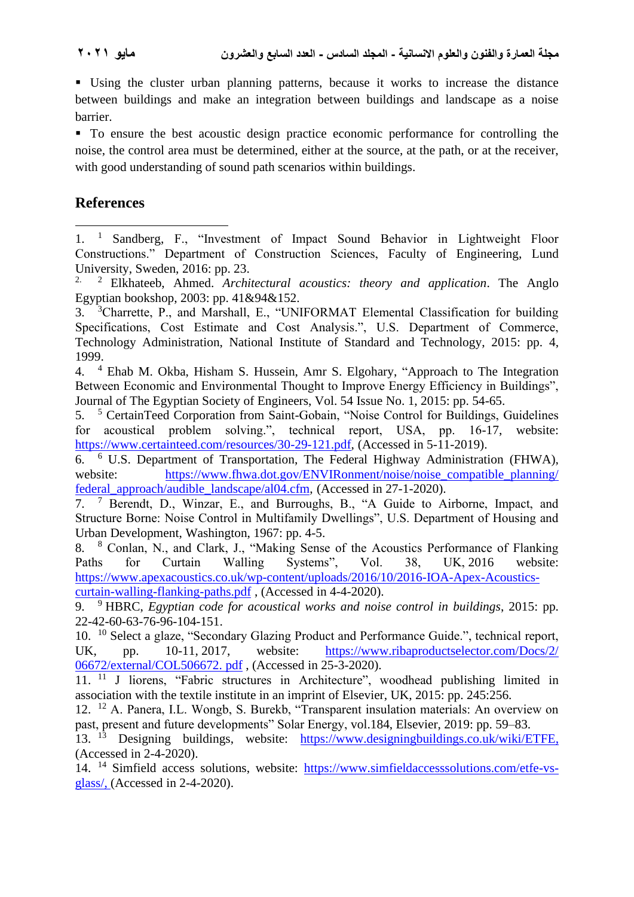▪ Using the cluster urban planning patterns, because it works to increase the distance between buildings and make an integration between buildings and landscape as a noise barrier.

■ To ensure the best acoustic design practice economic performance for controlling the noise, the control area must be determined, either at the source, at the path, or at the receiver, with good understanding of sound path scenarios within buildings.

# **References**

4. <sup>4</sup> Ehab M. Okba, Hisham S. Hussein, Amr S. Elgohary, "Approach to The Integration Between Economic and Environmental Thought to Improve Energy Efficiency in Buildings", Journal of The Egyptian Society of Engineers, Vol. 54 Issue No. 1, 2015: pp. 54-65.

5. <sup>5</sup> CertainTeed Corporation from Saint-Gobain, "Noise Control for Buildings, Guidelines for acoustical problem solving.", technical report, USA, pp. 16-17, website: [https://www.certainteed.com/resources/30-29-121.pdf,](https://www.certainteed.com/resources/30-29-121.pdf) (Accessed in 5-11-2019).

6. <sup>6</sup> [U.S. Department of Transportation,](https://www.fhwa.dot.gov/pressroom/fhwa1909.cfm) The Federal Highway Administration (FHWA), website: https://www.fhwa.dot.gov/ENVIRonment/noise/noise\_compatible\_planning/ [federal\\_approach/audible\\_landscape/al04.cfm,](https://www.fhwa.dot.gov/ENVIRonment/noise/noise_compatible_planning/%20federal_approach/audible_landscape/al04.cfm) (Accessed in 27-1-2020).

7. <sup>7</sup> Berendt, D., Winzar, E., and Burroughs, B., "A Guide to Airborne, Impact, and Structure Borne: Noise Control in Multifamily Dwellings", U.S. Department of Housing and Urban Development, Washington, 1967: pp. 4-5.

8. <sup>8</sup> Conlan, N., and Clark, J., "Making Sense of the Acoustics Performance of Flanking Paths for Curtain Walling Systems", Vol. 38, UK, 2016 website: [https://www.apexacoustics.co.uk/wp-content/uploads/2016/10/2016-IOA-Apex-Acoustics](https://www.apexacoustics.co.uk/wp-content/uploads/2016/10/2016-IOA-Apex-Acoustics-curtain-walling-flanking-paths.pdf)[curtain-walling-flanking-paths.pdf](https://www.apexacoustics.co.uk/wp-content/uploads/2016/10/2016-IOA-Apex-Acoustics-curtain-walling-flanking-paths.pdf) , (Accessed in 4-4-2020).

9. <sup>9</sup> HBRC, *Egyptian code for acoustical works and noise control in buildings*, 2015: pp. 22-42-60-63-76-96-104-151.

10. <sup>10</sup> Select a glaze, "Secondary Glazing Product and Performance Guide.", technical report, UK, pp. 10-11, 2017, website: https://www.ribaproductselector.com/Docs/2/ [06672/external/COL506672. pdf](https://www.ribaproductselector.com/Docs/2/%2006672/external/COL506672.%20pdf) , (Accessed in 25-3-2020).

11. <sup>11</sup> J liorens, "Fabric structures in Architecture", woodhead publishing limited in association with the textile institute in an imprint of Elsevier, UK, 2015: pp. 245:256.

12. <sup>12</sup> A. Panera, I.L. Wongb, S. Burekb, "Transparent insulation materials: An overview on past, present and future developments" Solar Energy, vol.184, Elsevier, 2019: pp. 59–83.

13. <sup>13</sup> Designing buildings, website: [https://www.designingbuildings.co.uk/wiki/ETFE,](https://www.designingbuildings.co.uk/wiki/ETFE) (Accessed in 2-4-2020).

14. <sup>14</sup> Simfield access solutions, website: [https://www.simfieldaccesssolutions.com/etfe-vs](https://www.simfieldaccesssolutions.com/etfe-vs-glass/)[glass/,](https://www.simfieldaccesssolutions.com/etfe-vs-glass/) (Accessed in 2-4-2020).

<sup>1.</sup> <sup>1</sup> Sandberg, F., "Investment of Impact Sound Behavior in Lightweight Floor Constructions." Department of Construction Sciences, Faculty of Engineering, Lund University, Sweden, 2016: pp. 23.

<sup>2.</sup> <sup>2</sup> Elkhateeb, Ahmed. *Architectural acoustics: theory and application*. The Anglo Egyptian bookshop, 2003: pp. 41&94&152.

<sup>3.</sup> <sup>3</sup>[Charrette, P., and Marshall, E., "UNIFORMAT Elemental Classification for building](file:///C:/Users/hp/AppData/Roaming/Microsoft/Word/P.%20Charette,%20E.%20Marshall,)  [Specifications, Cost Estimate and Cost Analysis.", U.S. Department of Commerce,](file:///C:/Users/hp/AppData/Roaming/Microsoft/Word/P.%20Charette,%20E.%20Marshall,)  [Technology Administration, National Institute of Standard and Technology, 2015: pp.](file:///C:/Users/hp/AppData/Roaming/Microsoft/Word/P.%20Charette,%20E.%20Marshall,) 4, [1999.](file:///C:/Users/hp/AppData/Roaming/Microsoft/Word/P.%20Charette,%20E.%20Marshall,)